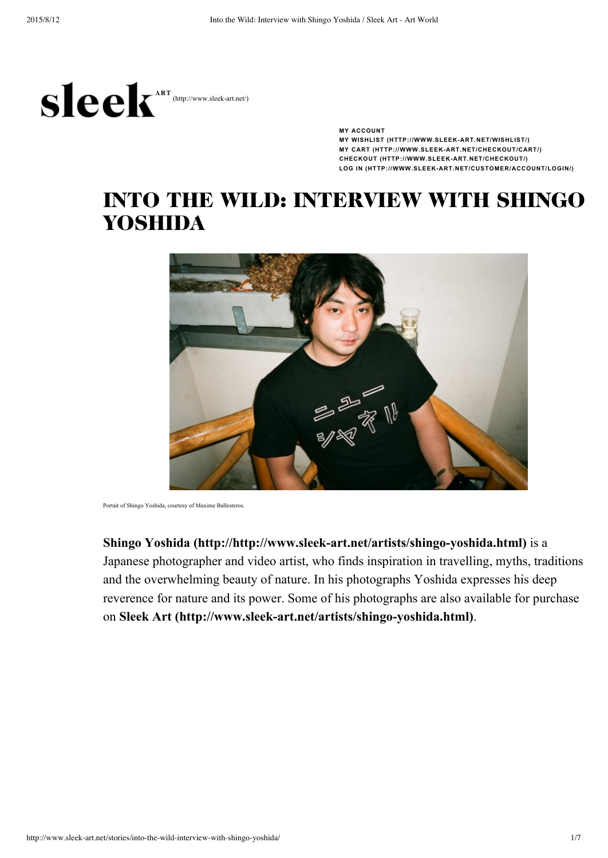

**MY [ACCOUNT](javascript:void(0)) MY WISHLIST [\(HTTP://WWW.SLEEKART.NET/WISHLIST/\)](http://www.sleek-art.net/wishlist/) MY CART [\(HTTP://WWW.SLEEKART.NET/CHECKOUT/CART/\)](http://www.sleek-art.net/checkout/cart/) CHECKOUT [\(HTTP://WWW.SLEEKART.NET/CHECKOUT/\)](http://www.sleek-art.net/checkout/) LOG IN [\(HTTP://WWW.SLEEKART.NET/CUSTOMER/ACCOUNT/LOGIN/\)](http://www.sleek-art.net/customer/account/login/)**

# INTO THE WILD: INTERVIEW WITH SHINGO YOSHIDA



Portait of Shingo Yoshida, courtesy of Maxime Ballesteros.

**Shingo** Yoshida (http://http://www.sleek-art.net/artists/shingo-yoshida.html) is a Japanese photographer and video artist, who finds inspiration in travelling, myths, traditions and the overwhelming beauty of nature. In his photographs Yoshida expresses his deep reverence for nature and its power. Some of his photographs are also available for purchase on **Sleek** Art (http://www.sleek-art.net/artists/shingo-yoshida.html).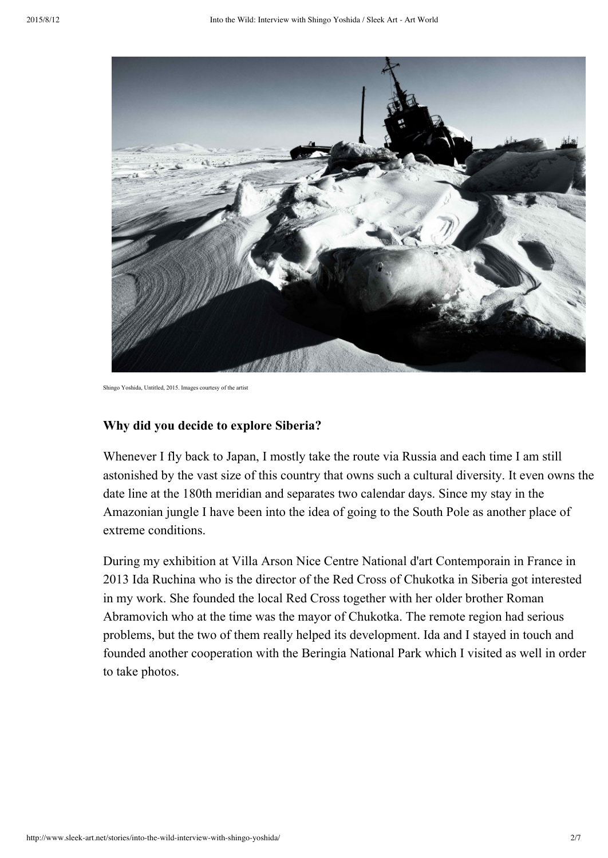

Shingo Yoshida, Untitled, 2015. Images courtesy of the artistical

### **Why did you decide to explore Siberia?**

Whenever I fly back to Japan, I mostly take the route via Russia and each time I am still astonished by the vast size of this country that owns such a cultural diversity. It even owns the date line at the 180th meridian and separates two calendar days. Since my stay in the Amazonian jungle I have been into the idea of going to the South Pole as another place of extreme conditions.

During my exhibition at Villa Arson Nice Centre National d'art Contemporain in France in 2013 Ida Ruchina who is the director of the Red Cross of Chukotka in Siberia got interested in my work. She founded the local Red Cross together with her older brother Roman Abramovich who at the time was the mayor of Chukotka. The remote region had serious problems, but the two of them really helped its development. Ida and I stayed in touch and founded another cooperation with the Beringia National Park which I visited as well in order to take photos.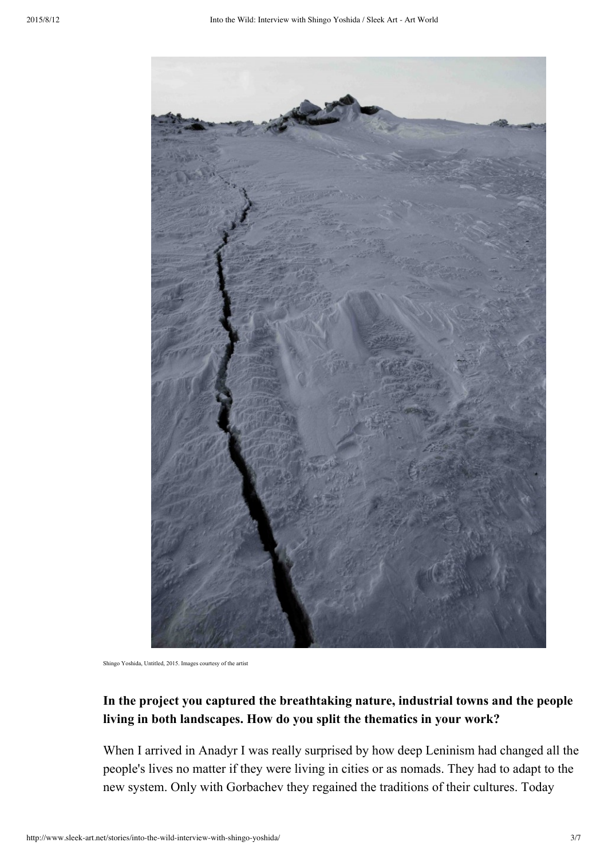

Shingo Yoshida, Untitled, 2015. Images courtesy of the artist

## **In the project you captured the breathtaking nature, industrial towns and the people living in both landscapes. How do you split the thematics in your work?**

When I arrived in Anadyr I was really surprised by how deep Leninism had changed all the people's lives no matter if they were living in cities or as nomads. They had to adapt to the new system. Only with Gorbachev they regained the traditions of their cultures. Today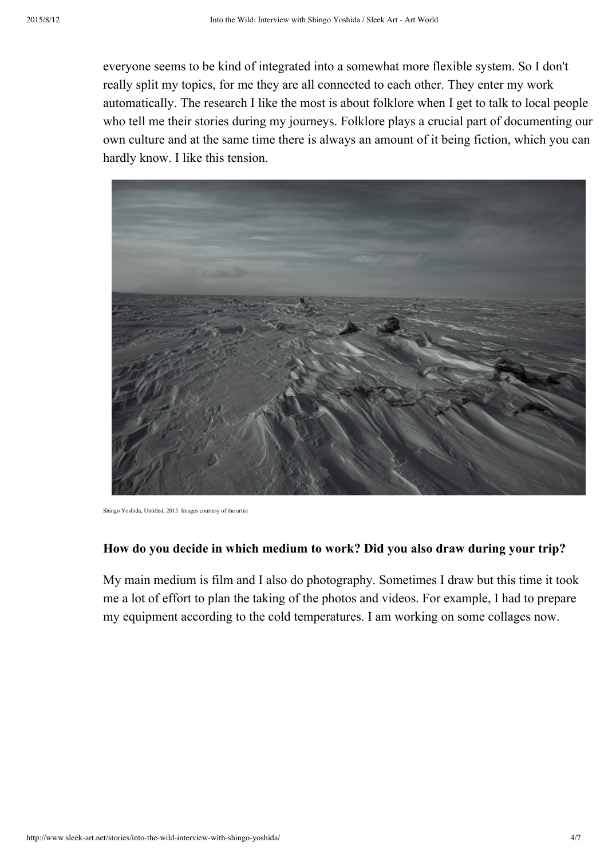everyone seems to be kind of integrated into a somewhat more flexible system. So I don't really split my topics, for me they are all connected to each other. They enter my work automatically. The research I like the most is about folklore when I get to talk to local people who tell me their stories during my journeys. Folklore plays a crucial part of documenting our own culture and at the same time there is always an amount of it being fiction, which you can hardly know. I like this tension.



Shingo Yoshida, Untitled, 2015. Images courtesy of the artist

## **How do you decide in which medium to work? Did you also draw during your trip?**

My main medium is film and I also do photography. Sometimes I draw but this time it took me a lot of effort to plan the taking of the photos and videos. For example, I had to prepare my equipment according to the cold temperatures. I am working on some collages now.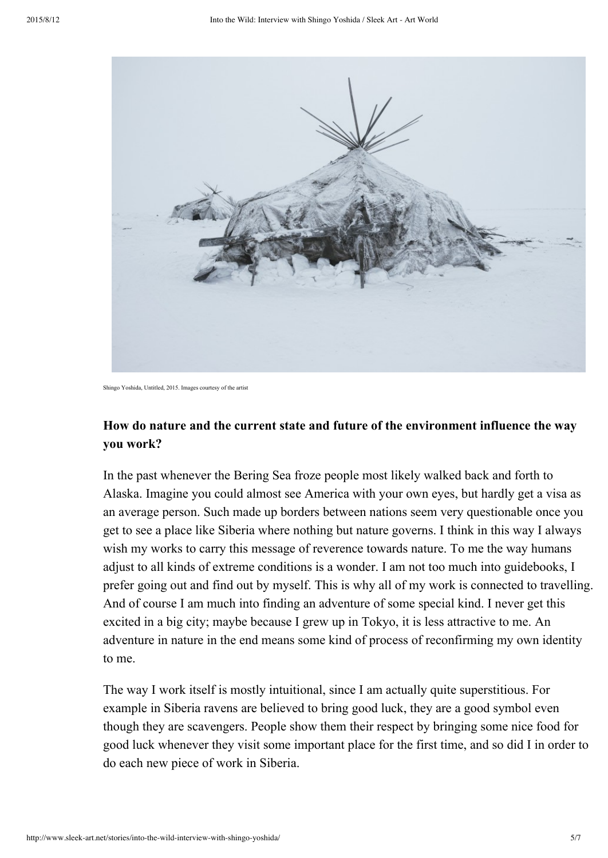

```
Shingo Yoshida, Untitled, 2015. Images courtesy of the artist
```
## **How do nature and the current state and future of the environment influence the way you work?**

In the past whenever the Bering Sea froze people most likely walked back and forth to Alaska. Imagine you could almost see America with your own eyes, but hardly get a visa as an average person. Such made up borders between nations seem very questionable once you get to see a place like Siberia where nothing but nature governs. I think in this way I always wish my works to carry this message of reverence towards nature. To me the way humans adjust to all kinds of extreme conditions is a wonder. I am not too much into guidebooks, I prefer going out and find out by myself. This is why all of my work is connected to travelling. And of course I am much into finding an adventure of some special kind. I never get this excited in a big city; maybe because I grew up in Tokyo, it is less attractive to me. An adventure in nature in the end means some kind of process of reconfirming my own identity to me.

The way I work itself is mostly intuitional, since I am actually quite superstitious. For example in Siberia ravens are believed to bring good luck, they are a good symbol even though they are scavengers. People show them their respect by bringing some nice food for good luck whenever they visit some important place for the first time, and so did I in order to do each new piece of work in Siberia.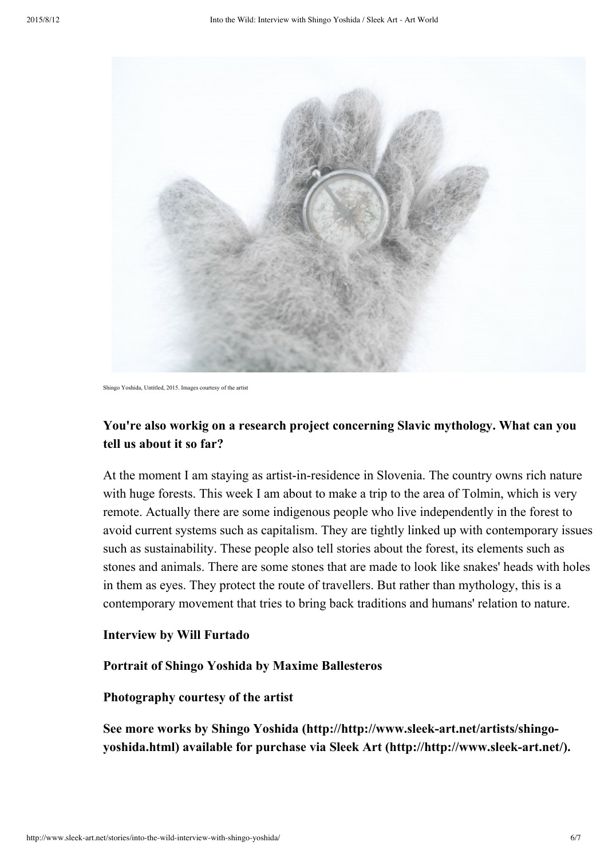

Shingo Yoshida, Untitled, 2015. Images courtesy of the artist

## **You're also workig on a research project concerning Slavic mythology. What can you tell us about it so far?**

At the moment I am staying as artist-in-residence in Slovenia. The country owns rich nature with huge forests. This week I am about to make a trip to the area of Tolmin, which is very remote. Actually there are some indigenous people who live independently in the forest to avoid current systems such as capitalism. They are tightly linked up with contemporary issues such as sustainability. These people also tell stories about the forest, its elements such as stones and animals. There are some stones that are made to look like snakes' heads with holes in them as eyes. They protect the route of travellers. But rather than mythology, this is a contemporary movement that tries to bring back traditions and humans' relation to nature.

#### **Interview by Will Furtado**

### **Portrait of Shingo Yoshida by Maxime Ballesteros**

#### **Photography courtesy of the artist**

**See more works by Shingo Yoshida [\(http://http://www.sleekart.net/artists/shingo](http://http//www.sleek-art.net/artists/shingo-yoshida.html)yoshida.html) available for purchase via Sleek Art [\(http://http://www.sleekart.net/\).](http://http//www.sleek-art.net/)**